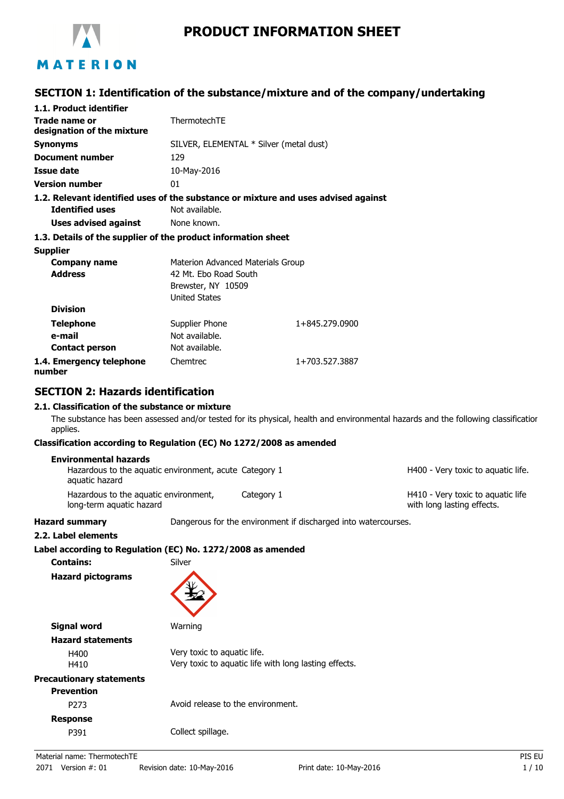

# **PRODUCT INFORMATION SHEET**

### **SECTION 1: Identification of the substance/mixture and of the company/undertaking**

| 1.1. Product identifier                                                            |                                         |                |
|------------------------------------------------------------------------------------|-----------------------------------------|----------------|
| Trade name or                                                                      | ThermotechTE                            |                |
| designation of the mixture                                                         |                                         |                |
| Synonyms                                                                           | SILVER, ELEMENTAL * Silver (metal dust) |                |
| Document number                                                                    | 129                                     |                |
| Issue date                                                                         | 10-May-2016                             |                |
| <b>Version number</b>                                                              | 01                                      |                |
| 1.2. Relevant identified uses of the substance or mixture and uses advised against |                                         |                |
| <b>Identified uses</b>                                                             | Not available.                          |                |
| Uses advised against                                                               | None known.                             |                |
| 1.3. Details of the supplier of the product information sheet                      |                                         |                |
| <b>Supplier</b>                                                                    |                                         |                |
| Company name                                                                       | Materion Advanced Materials Group       |                |
| <b>Address</b>                                                                     | 42 Mt. Ebo Road South                   |                |
|                                                                                    | Brewster, NY 10509                      |                |
|                                                                                    | <b>United States</b>                    |                |
| <b>Division</b>                                                                    |                                         |                |
| <b>Telephone</b>                                                                   | Supplier Phone                          | 1+845.279.0900 |
| e-mail                                                                             | Not available.                          |                |
| <b>Contact person</b>                                                              | Not available.                          |                |
| 1.4. Emergency telephone<br>numbor.                                                | Chemtrec                                | 1+703.527.3887 |

**number**

### **SECTION 2: Hazards identification**

#### **2.1. Classification of the substance or mixture**

The substance has been assessed and/or tested for its physical, health and environmental hazards and the following classification applies.

#### **Classification according to Regulation (EC) No 1272/2008 as amended**

| Environmental hazards                                                    |            |                                                                 |
|--------------------------------------------------------------------------|------------|-----------------------------------------------------------------|
| Hazardous to the aquatic environment, acute Category 1<br>aquatic hazard |            | H400 - Very toxic to aquatic life.                              |
| Hazardous to the aguatic environment,<br>long-term aquatic hazard        | Category 1 | H410 - Very toxic to aguatic life<br>with long lasting effects. |

**Hazard summary Dangerous for the environment if discharged into watercourses.** 

**2.2. Label elements**

### **Label according to Regulation (EC) No. 1272/2008 as amended**

**Contains:** Silver **Hazard pictograms**

| Signal word                     | Warning                                                                              |  |
|---------------------------------|--------------------------------------------------------------------------------------|--|
| <b>Hazard statements</b>        |                                                                                      |  |
| H400<br>H410                    | Very toxic to aquatic life.<br>Very toxic to aquatic life with long lasting effects. |  |
| <b>Precautionary statements</b> |                                                                                      |  |
| <b>Prevention</b>               |                                                                                      |  |
| P273                            | Avoid release to the environment.                                                    |  |
| <b>Response</b>                 |                                                                                      |  |
| P391                            | Collect spillage.                                                                    |  |
|                                 |                                                                                      |  |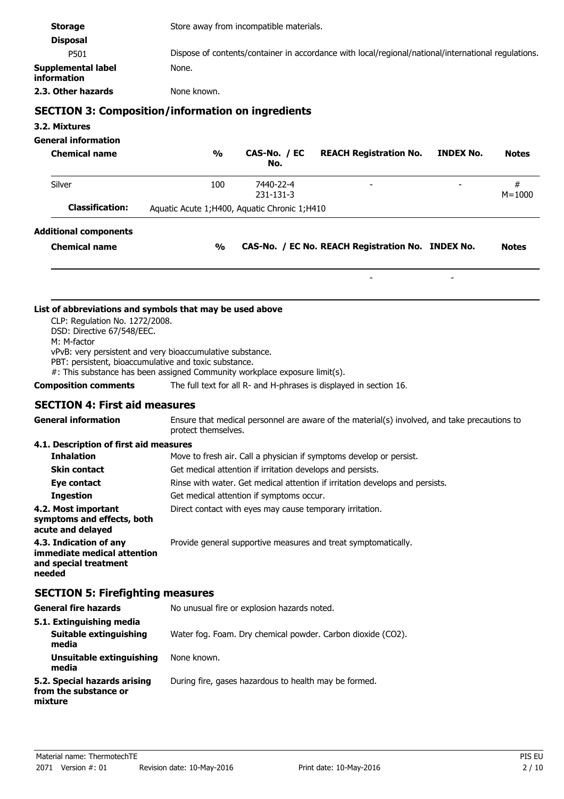| <b>Storage</b><br><b>Disposal</b>                                                                                                    | Store away from incompatible materials.                                                                                                                                                             |  |  |  |
|--------------------------------------------------------------------------------------------------------------------------------------|-----------------------------------------------------------------------------------------------------------------------------------------------------------------------------------------------------|--|--|--|
| P501                                                                                                                                 | Dispose of contents/container in accordance with local/regional/national/international regulations.                                                                                                 |  |  |  |
| Supplemental label                                                                                                                   | None.                                                                                                                                                                                               |  |  |  |
| information                                                                                                                          |                                                                                                                                                                                                     |  |  |  |
| 2.3. Other hazards                                                                                                                   | None known.                                                                                                                                                                                         |  |  |  |
|                                                                                                                                      | <b>SECTION 3: Composition/information on ingredients</b>                                                                                                                                            |  |  |  |
| 3.2. Mixtures                                                                                                                        |                                                                                                                                                                                                     |  |  |  |
| <b>General information</b>                                                                                                           |                                                                                                                                                                                                     |  |  |  |
| <b>Chemical name</b>                                                                                                                 | CAS-No. / EC<br><b>REACH Registration No.</b><br><b>INDEX No.</b><br>$\frac{1}{2}$<br><b>Notes</b><br>No.                                                                                           |  |  |  |
| Silver                                                                                                                               | 100<br>7440-22-4<br>#<br>231-131-3<br>$M = 1000$                                                                                                                                                    |  |  |  |
| <b>Classification:</b>                                                                                                               | Aquatic Acute 1; H400, Aquatic Chronic 1; H410                                                                                                                                                      |  |  |  |
| <b>Additional components</b>                                                                                                         |                                                                                                                                                                                                     |  |  |  |
| <b>Chemical name</b>                                                                                                                 | CAS-No. / EC No. REACH Registration No. INDEX No.<br>$\frac{1}{2}$<br><b>Notes</b>                                                                                                                  |  |  |  |
|                                                                                                                                      |                                                                                                                                                                                                     |  |  |  |
| CLP: Regulation No. 1272/2008.<br>DSD: Directive 67/548/EEC.<br>M: M-factor<br>PBT: persistent, bioaccumulative and toxic substance. | List of abbreviations and symbols that may be used above<br>vPvB: very persistent and very bioaccumulative substance.<br>#: This substance has been assigned Community workplace exposure limit(s). |  |  |  |
| <b>Composition comments</b>                                                                                                          | The full text for all R- and H-phrases is displayed in section 16.                                                                                                                                  |  |  |  |
| <b>SECTION 4: First aid measures</b>                                                                                                 |                                                                                                                                                                                                     |  |  |  |
| <b>General information</b>                                                                                                           | Ensure that medical personnel are aware of the material(s) involved, and take precautions to<br>protect themselves.                                                                                 |  |  |  |
| 4.1. Description of first aid measures                                                                                               |                                                                                                                                                                                                     |  |  |  |
| <b>Inhalation</b>                                                                                                                    | Move to fresh air. Call a physician if symptoms develop or persist.                                                                                                                                 |  |  |  |
| <b>Skin contact</b>                                                                                                                  | Get medical attention if irritation develops and persists.                                                                                                                                          |  |  |  |
| Eye contact                                                                                                                          | Rinse with water. Get medical attention if irritation develops and persists.                                                                                                                        |  |  |  |
| <b>Ingestion</b>                                                                                                                     | Get medical attention if symptoms occur.                                                                                                                                                            |  |  |  |
| 4.2. Most important<br>Direct contact with eyes may cause temporary irritation.<br>symptoms and effects, both<br>acute and delayed   |                                                                                                                                                                                                     |  |  |  |
| 4.3. Indication of any<br>immediate medical attention<br>and special treatment<br>needed                                             | Provide general supportive measures and treat symptomatically.                                                                                                                                      |  |  |  |
| <b>SECTION 5: Firefighting measures</b>                                                                                              |                                                                                                                                                                                                     |  |  |  |
| <b>General fire hazards</b>                                                                                                          | No unusual fire or explosion hazards noted.                                                                                                                                                         |  |  |  |
| 5.1. Extinguishing media<br><b>Suitable extinguishing</b><br>media                                                                   | Water fog. Foam. Dry chemical powder. Carbon dioxide (CO2).                                                                                                                                         |  |  |  |
| Unsuitable extinguishing<br>media                                                                                                    | None known.                                                                                                                                                                                         |  |  |  |
| 5.2. Special hazards arising<br>from the substance or<br>mixture                                                                     | During fire, gases hazardous to health may be formed.                                                                                                                                               |  |  |  |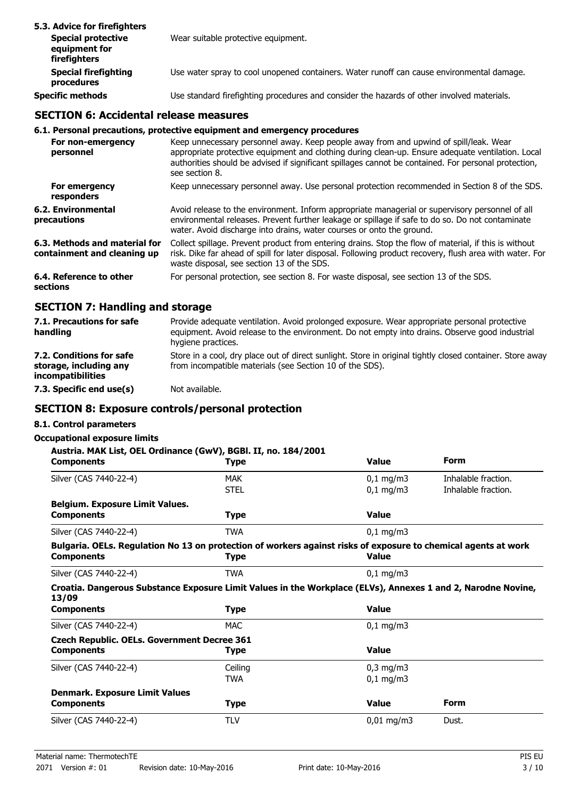| 5.3. Advice for firefighters                               |                                                                                            |
|------------------------------------------------------------|--------------------------------------------------------------------------------------------|
| <b>Special protective</b><br>equipment for<br>firefighters | Wear suitable protective equipment.                                                        |
| <b>Special firefighting</b><br>procedures                  | Use water spray to cool unopened containers. Water runoff can cause environmental damage.  |
| <b>Specific methods</b>                                    | Use standard firefighting procedures and consider the hazards of other involved materials. |

### **SECTION 6: Accidental release measures**

#### **6.1. Personal precautions, protective equipment and emergency procedures**

| For non-emergency<br>personnel                               | Keep unnecessary personnel away. Keep people away from and upwind of spill/leak. Wear<br>appropriate protective equipment and clothing during clean-up. Ensure adequate ventilation. Local<br>authorities should be advised if significant spillages cannot be contained. For personal protection,<br>see section 8. |
|--------------------------------------------------------------|----------------------------------------------------------------------------------------------------------------------------------------------------------------------------------------------------------------------------------------------------------------------------------------------------------------------|
| For emergency<br>responders                                  | Keep unnecessary personnel away. Use personal protection recommended in Section 8 of the SDS.                                                                                                                                                                                                                        |
| 6.2. Environmental<br>precautions                            | Avoid release to the environment. Inform appropriate managerial or supervisory personnel of all<br>environmental releases. Prevent further leakage or spillage if safe to do so. Do not contaminate<br>water. Avoid discharge into drains, water courses or onto the ground.                                         |
| 6.3. Methods and material for<br>containment and cleaning up | Collect spillage. Prevent product from entering drains. Stop the flow of material, if this is without<br>risk. Dike far ahead of spill for later disposal. Following product recovery, flush area with water. For<br>waste disposal, see section 13 of the SDS.                                                      |
| 6.4. Reference to other<br>sections                          | For personal protection, see section 8. For waste disposal, see section 13 of the SDS.                                                                                                                                                                                                                               |

### **SECTION 7: Handling and storage**

| 7.1. Precautions for safe<br>handling                                   | Provide adequate ventilation. Avoid prolonged exposure. Wear appropriate personal protective<br>equipment. Avoid release to the environment. Do not empty into drains. Observe good industrial<br>hygiene practices. |
|-------------------------------------------------------------------------|----------------------------------------------------------------------------------------------------------------------------------------------------------------------------------------------------------------------|
| 7.2. Conditions for safe<br>storage, including any<br>incompatibilities | Store in a cool, dry place out of direct sunlight. Store in original tightly closed container. Store away<br>from incompatible materials (see Section 10 of the SDS).                                                |
| 7.3. Specific end use(s)                                                | Not available.                                                                                                                                                                                                       |

#### **SECTION 8: Exposure controls/personal protection**

#### **8.1. Control parameters**

| Austria. MAK List, OEL Ordinance (GwV), BGBI. II, no. 184/2001                                                                      |             |                      |                     |
|-------------------------------------------------------------------------------------------------------------------------------------|-------------|----------------------|---------------------|
| <b>Components</b>                                                                                                                   | <b>Type</b> | <b>Value</b>         | <b>Form</b>         |
| Silver (CAS 7440-22-4)                                                                                                              | <b>MAK</b>  | $0,1$ mg/m3          | Inhalable fraction. |
|                                                                                                                                     | <b>STEL</b> | $0,1$ mg/m $3$       | Inhalable fraction. |
| <b>Belgium. Exposure Limit Values.</b>                                                                                              |             |                      |                     |
| <b>Components</b>                                                                                                                   | <b>Type</b> | <b>Value</b>         |                     |
| Silver (CAS 7440-22-4)                                                                                                              | <b>TWA</b>  | $0,1$ mg/m3          |                     |
| Bulgaria. OELs. Regulation No 13 on protection of workers against risks of exposure to chemical agents at work<br><b>Components</b> | <b>Type</b> | <b>Value</b>         |                     |
| Silver (CAS 7440-22-4)                                                                                                              | <b>TWA</b>  | $0,1$ mg/m3          |                     |
| Croatia. Dangerous Substance Exposure Limit Values in the Workplace (ELVs), Annexes 1 and 2, Narodne Novine,<br>13/09               |             |                      |                     |
| <b>Components</b>                                                                                                                   | <b>Type</b> | <b>Value</b>         |                     |
| Silver (CAS 7440-22-4)                                                                                                              | <b>MAC</b>  | $0,1 \, \text{mg/m}$ |                     |
| <b>Czech Republic. OELs. Government Decree 361</b>                                                                                  |             |                      |                     |
| <b>Components</b>                                                                                                                   | Type        | <b>Value</b>         |                     |
| Silver (CAS 7440-22-4)                                                                                                              | Ceiling     | $0,3$ mg/m $3$       |                     |
|                                                                                                                                     | <b>TWA</b>  | $0,1$ mg/m3          |                     |
| <b>Denmark. Exposure Limit Values</b>                                                                                               |             |                      |                     |
| <b>Components</b>                                                                                                                   | <b>Type</b> | <b>Value</b>         | <b>Form</b>         |
| Silver (CAS 7440-22-4)                                                                                                              | <b>TLV</b>  | $0,01$ mg/m3         | Dust.               |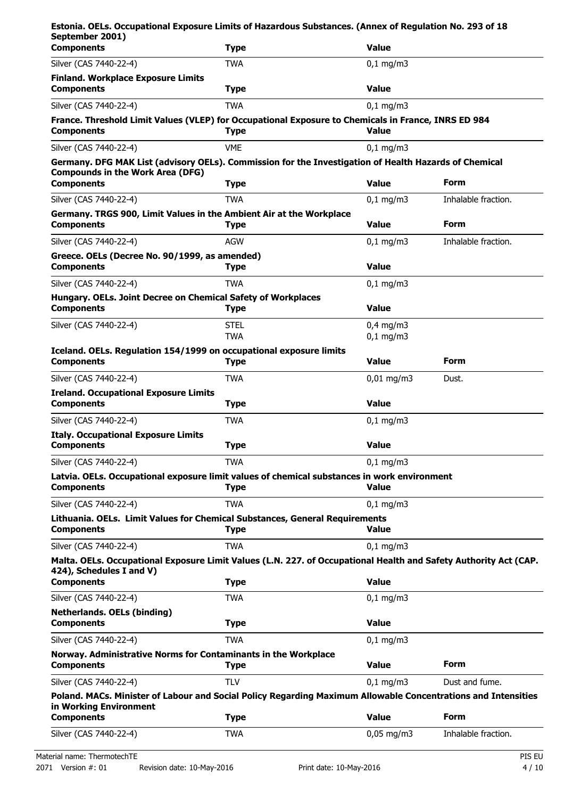| Estonia. OELs. Occupational Exposure Limits of Hazardous Substances. (Annex of Regulation No. 293 of 18<br>September 2001)                                        |             |                      |                     |
|-------------------------------------------------------------------------------------------------------------------------------------------------------------------|-------------|----------------------|---------------------|
| <b>Components</b>                                                                                                                                                 | <b>Type</b> | <b>Value</b>         |                     |
| Silver (CAS 7440-22-4)                                                                                                                                            | <b>TWA</b>  | $0,1$ mg/m3          |                     |
| <b>Finland. Workplace Exposure Limits</b><br><b>Components</b>                                                                                                    | <b>Type</b> | <b>Value</b>         |                     |
| Silver (CAS 7440-22-4)                                                                                                                                            | <b>TWA</b>  | $0,1$ mg/m3          |                     |
| France. Threshold Limit Values (VLEP) for Occupational Exposure to Chemicals in France, INRS ED 984<br><b>Components</b>                                          | <b>Type</b> | <b>Value</b>         |                     |
| Silver (CAS 7440-22-4)                                                                                                                                            | <b>VME</b>  | $0,1$ mg/m3          |                     |
| Germany. DFG MAK List (advisory OELs). Commission for the Investigation of Health Hazards of Chemical<br><b>Compounds in the Work Area (DFG)</b>                  |             |                      | <b>Form</b>         |
| <b>Components</b>                                                                                                                                                 | <b>Type</b> | <b>Value</b>         |                     |
| Silver (CAS 7440-22-4)<br>Germany. TRGS 900, Limit Values in the Ambient Air at the Workplace                                                                     | <b>TWA</b>  | $0,1$ mg/m3          | Inhalable fraction. |
| <b>Components</b>                                                                                                                                                 | <b>Type</b> | <b>Value</b>         | Form                |
| Silver (CAS 7440-22-4)                                                                                                                                            | AGW         | $0,1$ mg/m3          | Inhalable fraction. |
| Greece. OELs (Decree No. 90/1999, as amended)<br><b>Components</b>                                                                                                | <b>Type</b> | <b>Value</b>         |                     |
| Silver (CAS 7440-22-4)                                                                                                                                            | <b>TWA</b>  | $0,1 \, \text{mg/m}$ |                     |
| Hungary. OELs. Joint Decree on Chemical Safety of Workplaces<br><b>Components</b>                                                                                 | <b>Type</b> | <b>Value</b>         |                     |
| Silver (CAS 7440-22-4)                                                                                                                                            | <b>STEL</b> | $0,4$ mg/m3          |                     |
|                                                                                                                                                                   | <b>TWA</b>  | $0,1$ mg/m3          |                     |
| Iceland. OELs. Regulation 154/1999 on occupational exposure limits<br><b>Components</b>                                                                           | <b>Type</b> | <b>Value</b>         | <b>Form</b>         |
| Silver (CAS 7440-22-4)                                                                                                                                            | <b>TWA</b>  | $0,01$ mg/m3         | Dust.               |
| <b>Ireland. Occupational Exposure Limits</b><br><b>Components</b>                                                                                                 | <b>Type</b> | <b>Value</b>         |                     |
| Silver (CAS 7440-22-4)                                                                                                                                            | <b>TWA</b>  | $0,1$ mg/m3          |                     |
| <b>Italy. Occupational Exposure Limits</b><br><b>Components</b>                                                                                                   | <b>Type</b> | <b>Value</b>         |                     |
| Silver (CAS 7440-22-4)                                                                                                                                            | <b>TWA</b>  | $0,1 \, \text{mg/m}$ |                     |
| Latvia. OELs. Occupational exposure limit values of chemical substances in work environment<br><b>Components</b>                                                  | <b>Type</b> | <b>Value</b>         |                     |
| Silver (CAS 7440-22-4)                                                                                                                                            | <b>TWA</b>  | $0,1$ mg/m3          |                     |
| Lithuania. OELs. Limit Values for Chemical Substances, General Requirements<br><b>Components</b>                                                                  | <b>Type</b> | <b>Value</b>         |                     |
| Silver (CAS 7440-22-4)                                                                                                                                            | <b>TWA</b>  | $0.1$ mg/m3          |                     |
| Malta. OELs. Occupational Exposure Limit Values (L.N. 227. of Occupational Health and Safety Authority Act (CAP.<br>424), Schedules I and V)<br><b>Components</b> | <b>Type</b> | <b>Value</b>         |                     |
| Silver (CAS 7440-22-4)                                                                                                                                            | <b>TWA</b>  | $0,1$ mg/m3          |                     |
| <b>Netherlands. OELs (binding)</b>                                                                                                                                |             |                      |                     |
| <b>Components</b>                                                                                                                                                 | <b>Type</b> | <b>Value</b>         |                     |
| Silver (CAS 7440-22-4)                                                                                                                                            | <b>TWA</b>  | $0,1$ mg/m3          |                     |
| Norway. Administrative Norms for Contaminants in the Workplace<br><b>Components</b>                                                                               | <b>Type</b> | <b>Value</b>         | <b>Form</b>         |
| Silver (CAS 7440-22-4)                                                                                                                                            | <b>TLV</b>  | $0,1$ mg/m3          | Dust and fume.      |
| Poland. MACs. Minister of Labour and Social Policy Regarding Maximum Allowable Concentrations and Intensities<br>in Working Environment                           |             |                      |                     |
| <b>Components</b>                                                                                                                                                 | <b>Type</b> | <b>Value</b>         | <b>Form</b>         |
| Silver (CAS 7440-22-4)                                                                                                                                            | <b>TWA</b>  | $0,05$ mg/m3         | Inhalable fraction. |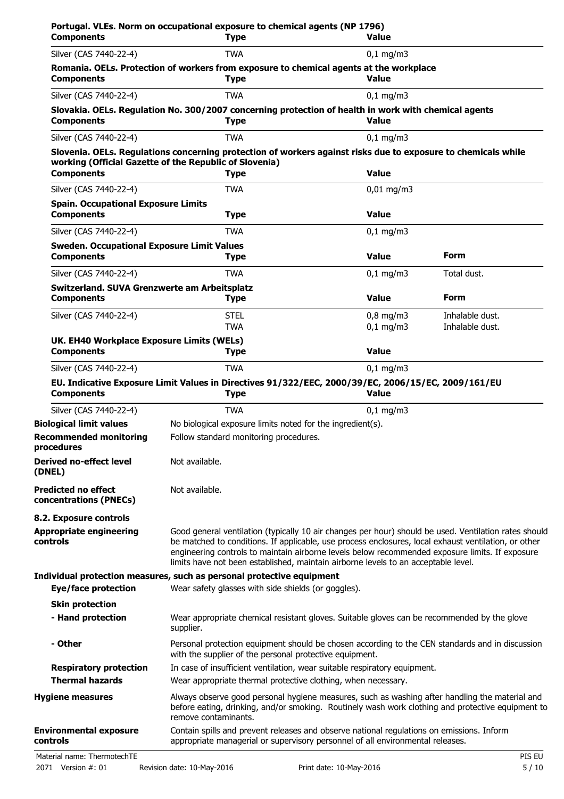| <b>Components</b>                                                      | <b>Type</b>                                                                                                                                                                                                                                                                                                                                                                                            | <b>Value</b>               |                                    |
|------------------------------------------------------------------------|--------------------------------------------------------------------------------------------------------------------------------------------------------------------------------------------------------------------------------------------------------------------------------------------------------------------------------------------------------------------------------------------------------|----------------------------|------------------------------------|
| Silver (CAS 7440-22-4)                                                 | <b>TWA</b>                                                                                                                                                                                                                                                                                                                                                                                             | $0,1$ mg/m3                |                                    |
| <b>Components</b>                                                      | Romania. OELs. Protection of workers from exposure to chemical agents at the workplace<br><b>Type</b>                                                                                                                                                                                                                                                                                                  | <b>Value</b>               |                                    |
| Silver (CAS 7440-22-4)                                                 | <b>TWA</b>                                                                                                                                                                                                                                                                                                                                                                                             | $0,1$ mg/m3                |                                    |
| <b>Components</b>                                                      | Slovakia. OELs. Regulation No. 300/2007 concerning protection of health in work with chemical agents<br><b>Type</b>                                                                                                                                                                                                                                                                                    | <b>Value</b>               |                                    |
| Silver (CAS 7440-22-4)                                                 | <b>TWA</b>                                                                                                                                                                                                                                                                                                                                                                                             | $0,1$ mg/m3                |                                    |
| <b>Components</b>                                                      | Slovenia. OELs. Regulations concerning protection of workers against risks due to exposure to chemicals while<br>working (Official Gazette of the Republic of Slovenia)<br><b>Type</b>                                                                                                                                                                                                                 | <b>Value</b>               |                                    |
| Silver (CAS 7440-22-4)                                                 | <b>TWA</b>                                                                                                                                                                                                                                                                                                                                                                                             | $0,01$ mg/m3               |                                    |
| <b>Spain. Occupational Exposure Limits</b><br><b>Components</b>        | <b>Type</b>                                                                                                                                                                                                                                                                                                                                                                                            | <b>Value</b>               |                                    |
| Silver (CAS 7440-22-4)                                                 | <b>TWA</b>                                                                                                                                                                                                                                                                                                                                                                                             | $0,1$ mg/m3                |                                    |
| <b>Sweden. Occupational Exposure Limit Values</b><br><b>Components</b> |                                                                                                                                                                                                                                                                                                                                                                                                        | <b>Value</b>               | <b>Form</b>                        |
|                                                                        | <b>Type</b>                                                                                                                                                                                                                                                                                                                                                                                            |                            |                                    |
| Silver (CAS 7440-22-4)<br>Switzerland. SUVA Grenzwerte am Arbeitsplatz | <b>TWA</b>                                                                                                                                                                                                                                                                                                                                                                                             | $0,1$ mg/m3                | Total dust.                        |
| <b>Components</b>                                                      | <b>Type</b>                                                                                                                                                                                                                                                                                                                                                                                            | <b>Value</b>               | <b>Form</b>                        |
| Silver (CAS 7440-22-4)                                                 | <b>STEL</b><br>TWA                                                                                                                                                                                                                                                                                                                                                                                     | $0,8$ mg/m3<br>$0,1$ mg/m3 | Inhalable dust.<br>Inhalable dust. |
| UK. EH40 Workplace Exposure Limits (WELs)<br><b>Components</b>         | <b>Type</b>                                                                                                                                                                                                                                                                                                                                                                                            | <b>Value</b>               |                                    |
| Silver (CAS 7440-22-4)                                                 | <b>TWA</b>                                                                                                                                                                                                                                                                                                                                                                                             | $0,1$ mg/m3                |                                    |
| <b>Components</b>                                                      | EU. Indicative Exposure Limit Values in Directives 91/322/EEC, 2000/39/EC, 2006/15/EC, 2009/161/EU<br><b>Type</b>                                                                                                                                                                                                                                                                                      | <b>Value</b>               |                                    |
| Silver (CAS 7440-22-4)                                                 | <b>TWA</b>                                                                                                                                                                                                                                                                                                                                                                                             | $0,1$ mg/m3                |                                    |
| <b>Biological limit values</b>                                         | No biological exposure limits noted for the ingredient(s).                                                                                                                                                                                                                                                                                                                                             |                            |                                    |
| <b>Recommended monitoring</b><br>procedures                            | Follow standard monitoring procedures.                                                                                                                                                                                                                                                                                                                                                                 |                            |                                    |
| <b>Derived no-effect level</b><br>(DNEL)                               | Not available.                                                                                                                                                                                                                                                                                                                                                                                         |                            |                                    |
| <b>Predicted no effect</b><br>concentrations (PNECs)                   | Not available.                                                                                                                                                                                                                                                                                                                                                                                         |                            |                                    |
| 8.2. Exposure controls                                                 |                                                                                                                                                                                                                                                                                                                                                                                                        |                            |                                    |
| <b>Appropriate engineering</b><br>controls                             | Good general ventilation (typically 10 air changes per hour) should be used. Ventilation rates should<br>be matched to conditions. If applicable, use process enclosures, local exhaust ventilation, or other<br>engineering controls to maintain airborne levels below recommended exposure limits. If exposure<br>limits have not been established, maintain airborne levels to an acceptable level. |                            |                                    |
| <b>Eye/face protection</b>                                             | Individual protection measures, such as personal protective equipment<br>Wear safety glasses with side shields (or goggles).                                                                                                                                                                                                                                                                           |                            |                                    |
| <b>Skin protection</b><br>- Hand protection                            | Wear appropriate chemical resistant gloves. Suitable gloves can be recommended by the glove<br>supplier.                                                                                                                                                                                                                                                                                               |                            |                                    |
| - Other                                                                | Personal protection equipment should be chosen according to the CEN standards and in discussion<br>with the supplier of the personal protective equipment.                                                                                                                                                                                                                                             |                            |                                    |
| <b>Respiratory protection</b><br><b>Thermal hazards</b>                | In case of insufficient ventilation, wear suitable respiratory equipment.<br>Wear appropriate thermal protective clothing, when necessary.                                                                                                                                                                                                                                                             |                            |                                    |
| <b>Hygiene measures</b>                                                | Always observe good personal hygiene measures, such as washing after handling the material and<br>before eating, drinking, and/or smoking. Routinely wash work clothing and protective equipment to<br>remove contaminants.                                                                                                                                                                            |                            |                                    |
| <b>Environmental exposure</b><br>controls                              | Contain spills and prevent releases and observe national regulations on emissions. Inform<br>appropriate managerial or supervisory personnel of all environmental releases.                                                                                                                                                                                                                            |                            |                                    |
| Material name: ThermotechTE                                            |                                                                                                                                                                                                                                                                                                                                                                                                        |                            | PIS EU                             |
| 2071 Version #: 01                                                     | Revision date: 10-May-2016                                                                                                                                                                                                                                                                                                                                                                             | Print date: 10-May-2016    | 5/10                               |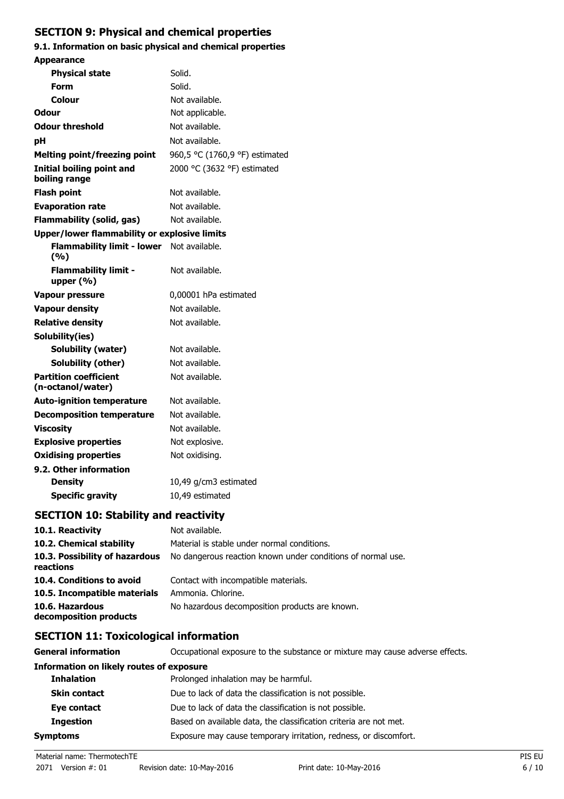## **SECTION 9: Physical and chemical properties**

### **9.1. Information on basic physical and chemical properties**

| <b>Appearance</b>                                   |                                |  |
|-----------------------------------------------------|--------------------------------|--|
| <b>Physical state</b>                               | Solid.                         |  |
| Form                                                | Solid.                         |  |
| Colour                                              | Not available.                 |  |
| Odour                                               | Not applicable.                |  |
| <b>Odour threshold</b>                              | Not available.                 |  |
| рH                                                  | Not available.                 |  |
| <b>Melting point/freezing point</b>                 | 960,5 °C (1760,9 °F) estimated |  |
| Initial boiling point and<br>boiling range          | 2000 °C (3632 °F) estimated    |  |
| <b>Flash point</b>                                  | Not available.                 |  |
| <b>Evaporation rate</b>                             | Not available.                 |  |
| <b>Flammability (solid, gas)</b>                    | Not available.                 |  |
| <b>Upper/lower flammability or explosive limits</b> |                                |  |
| <b>Flammability limit - lower</b><br>(%)            | Not available.                 |  |
| <b>Flammability limit -</b><br>upper $(% )$         | Not available.                 |  |
| <b>Vapour pressure</b>                              | 0,00001 hPa estimated          |  |
| <b>Vapour density</b>                               | Not available.                 |  |
| <b>Relative density</b>                             | Not available.                 |  |
| Solubility(ies)                                     |                                |  |
| Solubility (water)                                  | Not available.                 |  |
| Solubility (other)                                  | Not available.                 |  |
| <b>Partition coefficient</b><br>(n-octanol/water)   | Not available.                 |  |
| <b>Auto-ignition temperature</b>                    | Not available.                 |  |
| <b>Decomposition temperature</b>                    | Not available.                 |  |
| <b>Viscosity</b>                                    | Not available.                 |  |
| <b>Explosive properties</b>                         | Not explosive.                 |  |
| <b>Oxidising properties</b>                         | Not oxidising.                 |  |
| 9.2. Other information                              |                                |  |
| <b>Density</b>                                      | 10,49 g/cm3 estimated          |  |
| <b>Specific gravity</b>                             | 10,49 estimated                |  |
|                                                     |                                |  |

## **SECTION 10: Stability and reactivity**

| 10.1. Reactivity                            | Not available.                                              |
|---------------------------------------------|-------------------------------------------------------------|
| 10.2. Chemical stability                    | Material is stable under normal conditions.                 |
| 10.3. Possibility of hazardous<br>reactions | No dangerous reaction known under conditions of normal use. |
| 10.4. Conditions to avoid                   | Contact with incompatible materials.                        |
| 10.5. Incompatible materials                | Ammonia. Chlorine.                                          |
| 10.6. Hazardous<br>decomposition products   | No hazardous decomposition products are known.              |

## **SECTION 11: Toxicological information**

| <b>General information</b>                      | Occupational exposure to the substance or mixture may cause adverse effects. |  |
|-------------------------------------------------|------------------------------------------------------------------------------|--|
| <b>Information on likely routes of exposure</b> |                                                                              |  |
| <b>Inhalation</b>                               | Prolonged inhalation may be harmful.                                         |  |
| <b>Skin contact</b>                             | Due to lack of data the classification is not possible.                      |  |
| Eye contact                                     | Due to lack of data the classification is not possible.                      |  |
| <b>Ingestion</b>                                | Based on available data, the classification criteria are not met.            |  |
| <b>Symptoms</b>                                 | Exposure may cause temporary irritation, redness, or discomfort.             |  |
|                                                 |                                                                              |  |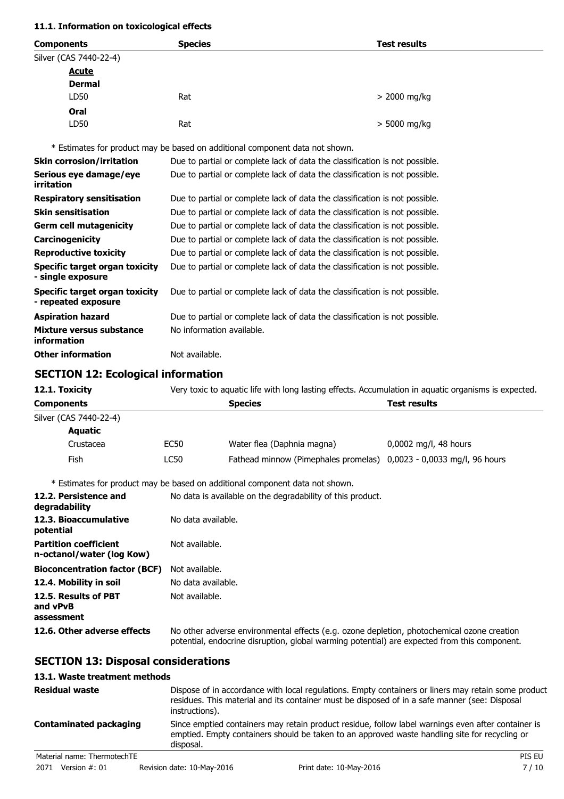#### **11.1. Information on toxicological effects**

| <b>Species</b><br><b>Components</b> |                        |     | <b>Test results</b> |  |
|-------------------------------------|------------------------|-----|---------------------|--|
|                                     | Silver (CAS 7440-22-4) |     |                     |  |
|                                     | <b>Acute</b>           |     |                     |  |
|                                     | <b>Dermal</b>          |     |                     |  |
|                                     | LD50                   | Rat | $>$ 2000 mg/kg      |  |
|                                     | Oral                   |     |                     |  |
|                                     | LD50                   | Rat | > 5000 mg/kg        |  |

\* Estimates for product may be based on additional component data not shown.

| <b>Skin corrosion/irritation</b>                      | Due to partial or complete lack of data the classification is not possible. |
|-------------------------------------------------------|-----------------------------------------------------------------------------|
| Serious eye damage/eye<br>irritation                  | Due to partial or complete lack of data the classification is not possible. |
| <b>Respiratory sensitisation</b>                      | Due to partial or complete lack of data the classification is not possible. |
| <b>Skin sensitisation</b>                             | Due to partial or complete lack of data the classification is not possible. |
| <b>Germ cell mutagenicity</b>                         | Due to partial or complete lack of data the classification is not possible. |
| Carcinogenicity                                       | Due to partial or complete lack of data the classification is not possible. |
| <b>Reproductive toxicity</b>                          | Due to partial or complete lack of data the classification is not possible. |
| Specific target organ toxicity<br>- single exposure   | Due to partial or complete lack of data the classification is not possible. |
| Specific target organ toxicity<br>- repeated exposure | Due to partial or complete lack of data the classification is not possible. |
| <b>Aspiration hazard</b>                              | Due to partial or complete lack of data the classification is not possible. |
| Mixture versus substance<br>information               | No information available.                                                   |
| <b>Other information</b>                              | Not available.                                                              |

## **SECTION 12: Ecological information**

| 12.1. Toxicity         | Very toxic to aquatic life with long lasting effects. Accumulation in aquatic organisms is expected. |                                                                     |                         |
|------------------------|------------------------------------------------------------------------------------------------------|---------------------------------------------------------------------|-------------------------|
| <b>Components</b>      | <b>Species</b><br><b>Test results</b>                                                                |                                                                     |                         |
| Silver (CAS 7440-22-4) |                                                                                                      |                                                                     |                         |
| <b>Aquatic</b>         |                                                                                                      |                                                                     |                         |
| Crustacea              | EC50                                                                                                 | Water flea (Daphnia magna)                                          | $0,0002$ mg/l, 48 hours |
| Fish                   | LC50                                                                                                 | Fathead minnow (Pimephales promelas) 0,0023 - 0,0033 mg/l, 96 hours |                         |

\* Estimates for product may be based on additional component data not shown.

| 12.2. Persistence and<br>degradability                    | No data is available on the degradability of this product.                                                                                                                                 |
|-----------------------------------------------------------|--------------------------------------------------------------------------------------------------------------------------------------------------------------------------------------------|
| 12.3. Bioaccumulative<br>potential                        | No data available.                                                                                                                                                                         |
| <b>Partition coefficient</b><br>n-octanol/water (log Kow) | Not available.                                                                                                                                                                             |
| <b>Bioconcentration factor (BCF)</b>                      | Not available.                                                                                                                                                                             |
| 12.4. Mobility in soil                                    | No data available.                                                                                                                                                                         |
| 12.5. Results of PBT<br>and vPvB<br>assessment            | Not available.                                                                                                                                                                             |
| 12.6. Other adverse effects                               | No other adverse environmental effects (e.g. ozone depletion, photochemical ozone creation<br>potential, endocrine disruption, global warming potential) are expected from this component. |

## **SECTION 13: Disposal considerations**

#### **13.1. Waste treatment methods**

|                               | <b>Residual waste</b><br>Dispose of in accordance with local regulations. Empty containers or liners may retain some product<br>residues. This material and its container must be disposed of in a safe manner (see: Disposal<br>instructions). |                            |                                                                                                                                                                                                     |        |  |
|-------------------------------|-------------------------------------------------------------------------------------------------------------------------------------------------------------------------------------------------------------------------------------------------|----------------------------|-----------------------------------------------------------------------------------------------------------------------------------------------------------------------------------------------------|--------|--|
| <b>Contaminated packaging</b> |                                                                                                                                                                                                                                                 | disposal.                  | Since emptied containers may retain product residue, follow label warnings even after container is<br>emptied. Empty containers should be taken to an approved waste handling site for recycling or |        |  |
|                               | Material name: ThermotechTE                                                                                                                                                                                                                     |                            |                                                                                                                                                                                                     | PIS EU |  |
|                               | 2071 Version #: 01                                                                                                                                                                                                                              | Revision date: 10-May-2016 | Print date: 10-May-2016                                                                                                                                                                             | 7/10   |  |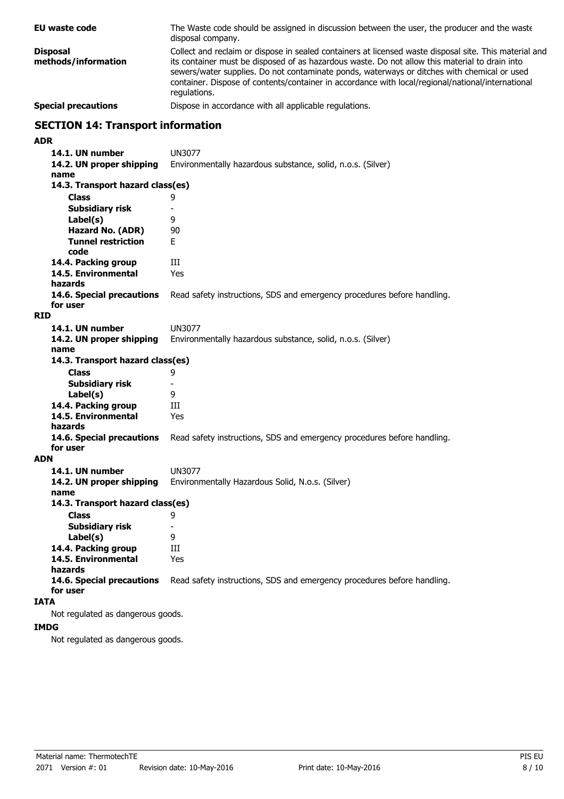The Waste code should be assigned in discussion between the user, the producer and the waste disposal company. **EU waste code** Collect and reclaim or dispose in sealed containers at licensed waste disposal site. This material and its container must be disposed of as hazardous waste. Do not allow this material to drain into sewers/water supplies. Do not contaminate ponds, waterways or ditches with chemical or used container. Dispose of contents/container in accordance with local/regional/national/international regulations. **Disposal methods/information Special precautions Dispose in accordance with all applicable regulations. SECTION 14: Transport information ADR 14.1. UN number** UN3077 **14.2. UN proper shipping** Environmentally hazardous substance, solid, n.o.s. (Silver) **name Class** 9 **14.3. Transport hazard class(es) Subsidiary risk** - **Label(s)** 9 **Hazard No. (ADR)** 90 **Tunnel restriction** E **code** 14.4. Packing group **III 14.5. Environmental** Yes **hazards 14.6. Special precautions** Read safety instructions, SDS and emergency procedures before handling. **for user RID 14.1. UN number** UN3077 **14.2. UN proper shipping** Environmentally hazardous substance, solid, n.o.s. (Silver) **name Class** 9 **14.3. Transport hazard class(es) Subsidiary risk Label(s)** 9 **14.4. Packing group III 14.5. Environmental** Yes **hazards 14.6. Special precautions** Read safety instructions, SDS and emergency procedures before handling. **for user ADN 14.1. UN number** UN3077 **14.2. UN proper shipping** Environmentally Hazardous Solid, N.o.s. (Silver) **name Class** 9 **14.3. Transport hazard class(es) Subsidiary risk** - **Label(s)** 9 **14.4. Packing group III 14.5. Environmental** Yes **hazards 14.6. Special precautions** Read safety instructions, SDS and emergency procedures before handling. **for user IATA** Not regulated as dangerous goods. **IMDG**

Not regulated as dangerous goods.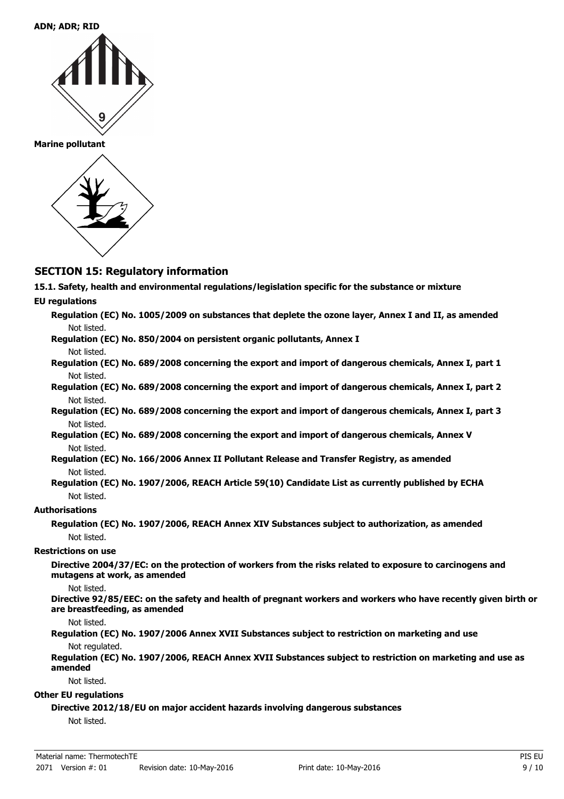**Marine pollutant**



## **SECTION 15: Regulatory information**

**15.1. Safety, health and environmental regulations/legislation specific for the substance or mixture**

#### **EU regulations**

- **Regulation (EC) No. 1005/2009 on substances that deplete the ozone layer, Annex I and II, as amended** Not listed.
- **Regulation (EC) No. 850/2004 on persistent organic pollutants, Annex I** Not listed.
- **Regulation (EC) No. 689/2008 concerning the export and import of dangerous chemicals, Annex I, part 1** Not listed.
- **Regulation (EC) No. 689/2008 concerning the export and import of dangerous chemicals, Annex I, part 2** Not listed.
- **Regulation (EC) No. 689/2008 concerning the export and import of dangerous chemicals, Annex I, part 3** Not listed.
- **Regulation (EC) No. 689/2008 concerning the export and import of dangerous chemicals, Annex V** Not listed.
- **Regulation (EC) No. 166/2006 Annex II Pollutant Release and Transfer Registry, as amended** Not listed.
- **Regulation (EC) No. 1907/2006, REACH Article 59(10) Candidate List as currently published by ECHA** Not listed.

#### **Authorisations**

**Regulation (EC) No. 1907/2006, REACH Annex XIV Substances subject to authorization, as amended** Not listed.

#### **Restrictions on use**

**Directive 2004/37/EC: on the protection of workers from the risks related to exposure to carcinogens and mutagens at work, as amended**

#### Not listed.

**Directive 92/85/EEC: on the safety and health of pregnant workers and workers who have recently given birth or are breastfeeding, as amended**

Not listed.

#### **Regulation (EC) No. 1907/2006 Annex XVII Substances subject to restriction on marketing and use** Not regulated.

**Regulation (EC) No. 1907/2006, REACH Annex XVII Substances subject to restriction on marketing and use as amended**

Not listed.

#### **Other EU regulations**

#### **Directive 2012/18/EU on major accident hazards involving dangerous substances**

Not listed.